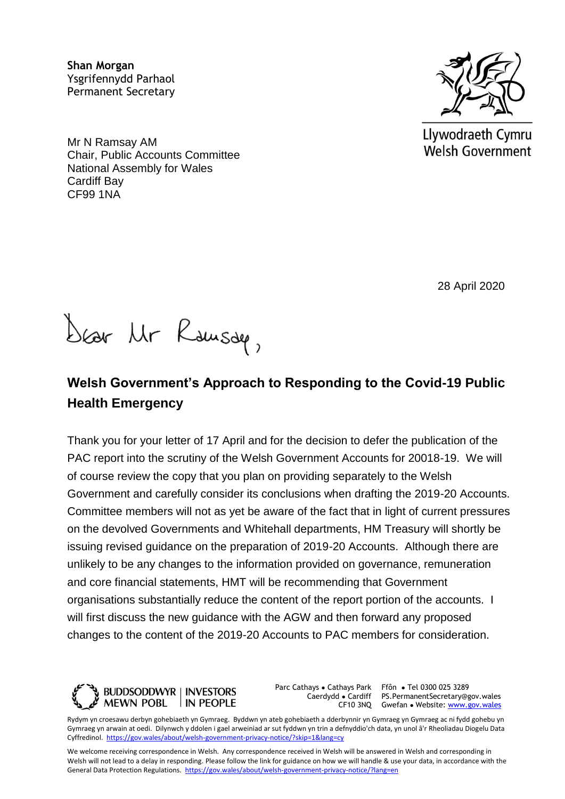**Shan Morgan**  Ysgrifennydd Parhaol Permanent Secretary

Mr N Ramsay AM Chair, Public Accounts Committee National Assembly for Wales Cardiff Bay CF99 1NA



Llywodraeth Cymru **Welsh Government** 

28 April 2020

Dear Mr Rausau,

## **Welsh Government's Approach to Responding to the Covid-19 Public Health Emergency**

Thank you for your letter of 17 April and for the decision to defer the publication of the PAC report into the scrutiny of the Welsh Government Accounts for 20018-19. We will of course review the copy that you plan on providing separately to the Welsh Government and carefully consider its conclusions when drafting the 2019-20 Accounts. Committee members will not as yet be aware of the fact that in light of current pressures on the devolved Governments and Whitehall departments, HM Treasury will shortly be issuing revised guidance on the preparation of 2019-20 Accounts. Although there are unlikely to be any changes to the information provided on governance, remuneration and core financial statements, HMT will be recommending that Government organisations substantially reduce the content of the report portion of the accounts. I will first discuss the new guidance with the AGW and then forward any proposed changes to the content of the 2019-20 Accounts to PAC members for consideration.



Parc Cathays ● Cathays Park Caerdydd ● Cardiff

CF10 3NQ Gwefan • Website: [www.gov.wales](http://www.gov.wales/) Ffôn ● Tel 0300 025 3289 PS.PermanentSecretary@gov.wales

Rydym yn croesawu derbyn gohebiaeth yn Gymraeg. Byddwn yn ateb gohebiaeth a dderbynnir yn Gymraeg yn Gymraeg ac ni fydd gohebu yn Gymraeg yn arwain at oedi. Dilynwch y ddolen i gael arweiniad ar sut fyddwn yn trin a defnyddio'ch data, yn unol â'r Rheoliadau Diogelu Data Cyffredinol.<https://gov.wales/about/welsh-government-privacy-notice/?skip=1&lang=cy>

We welcome receiving correspondence in Welsh. Any correspondence received in Welsh will be answered in Welsh and corresponding in Welsh will not lead to a delay in responding. Please follow the link for guidance on how we will handle & use your data, in accordance with the General Data Protection Regulations.<https://gov.wales/about/welsh-government-privacy-notice/?lang=en>